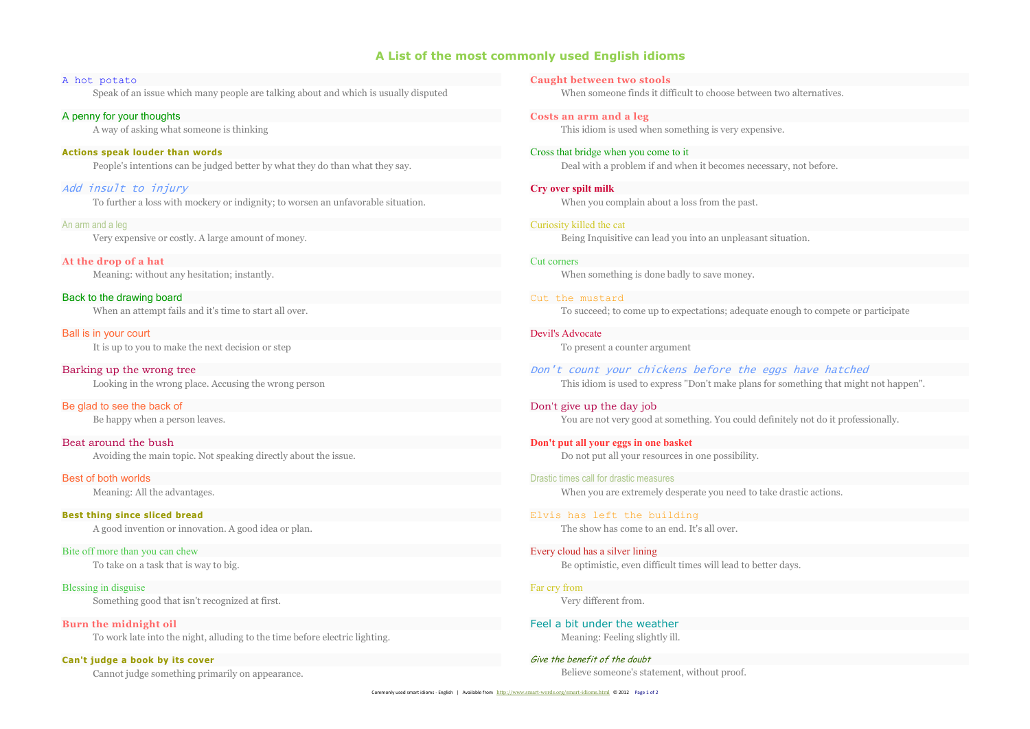# **A List of the most commonly used English idioms**

#### A hot potato

Speak of an issue which many people are talking about and which is usually disputed

# A penny for your thoughts

A way of asking what someone is thinking

#### **Actions speak louder than words**

People's intentions can be judged better by what they do than what they say.

# Add insult to injury

To further a loss with mockery or indignity; to worsen an unfavorable situation.

An arm and a leg Very expensive or costly. A large amount of money.

**At the drop of a hat** Meaning: without any hesitation; instantly.

Back to the drawing board When an attempt fails and it's time to start all over.

Ball is in your court It is up to you to make the next decision or step

Barking up the wrong tree

Looking in the wrong place. Accusing the wrong person

# Be glad to see the back of

Be happy when a person leaves.

Beat around the bush Avoiding the main topic. Not speaking directly about the issue.

Best of both worlds Meaning: All the advantages.

# **Best thing since sliced bread**

A good invention or innovation. A good idea or plan.

Bite off more than you can chew To take on a task that is way to big.

Blessing in disguise Something good that isn't recognized at first.

**Burn the midnight oil** To work late into the night, alluding to the time before electric lighting.

# **Can't judge a book by its cover**

Cannot judge something primarily on appearance.

# **Caught between two stools**

When someone finds it difficult to choose between two alternatives.

**Costs an arm and a leg** This idiom is used when something is very expensive.

# Cross that bridge when you come to it

Deal with a problem if and when it becomes necessary, not before.

**Cry over spilt milk** 

When you complain about a loss from the past.

Curiosity killed the cat Being Inquisitive can lead you into an unpleasant situation.

Cut corners When something is done badly to save money.

Cut the mustard To succeed; to come up to expectations; adequate enough to compete or participate

Devil's Advocate To present a counter argument

Don't count your chickens before the eggs have hatched This idiom is used to express "Don't make plans for something that might not happen".

Don't give up the day job You are not very good at something. You could definitely not do it professionally.

**Don't put all your eggs in one basket**  Do not put all your resources in one possibility.

Drastic times call for drastic measures When you are extremely desperate you need to take drastic actions.

Elvis has left the building The show has come to an end. It's all over.

Every cloud has a silver lining Be optimistic, even difficult times will lead to better days.

Far cry from Very different from.

Feel a bit under the weather Meaning: Feeling slightly ill.

Give the benefit of the doubt Believe someone's statement, without proof.